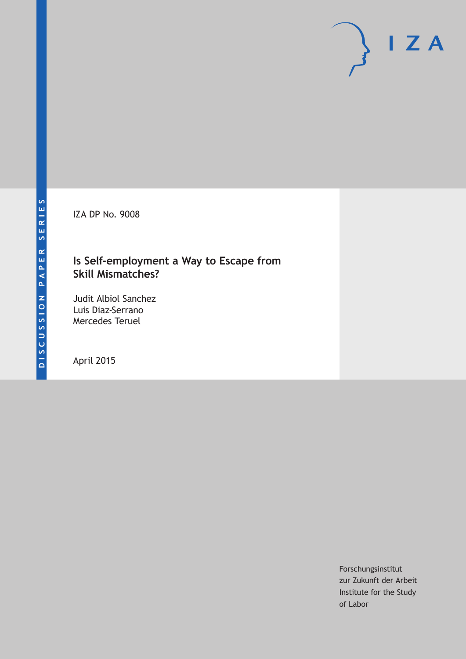IZA DP No. 9008

## **Is Self-employment a Way to Escape from Skill Mismatches?**

Judit Albiol Sanchez Luis Diaz-Serrano Mercedes Teruel

April 2015

Forschungsinstitut zur Zukunft der Arbeit Institute for the Study of Labor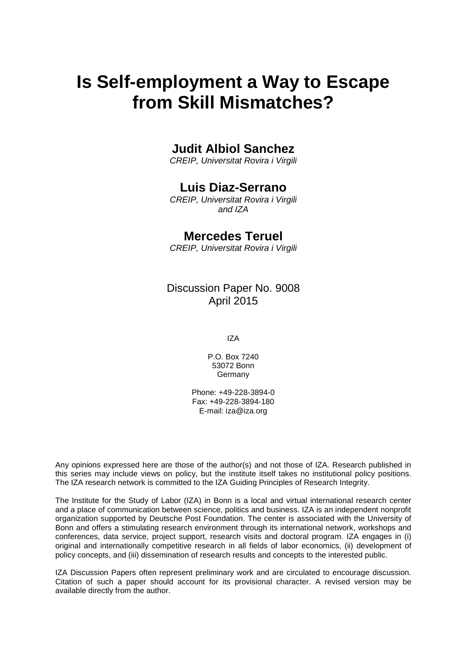# **Is Self-employment a Way to Escape from Skill Mismatches?**

## **Judit Albiol Sanchez**

*CREIP, Universitat Rovira i Virgili*

## **Luis Diaz-Serrano**

*CREIP, Universitat Rovira i Virgili and IZA*

## **Mercedes Teruel**

*CREIP, Universitat Rovira i Virgili*

Discussion Paper No. 9008 April 2015

IZA

P.O. Box 7240 53072 Bonn **Germany** 

Phone: +49-228-3894-0 Fax: +49-228-3894-180 E-mail: iza@iza.org

Any opinions expressed here are those of the author(s) and not those of IZA. Research published in this series may include views on policy, but the institute itself takes no institutional policy positions. The IZA research network is committed to the IZA Guiding Principles of Research Integrity.

The Institute for the Study of Labor (IZA) in Bonn is a local and virtual international research center and a place of communication between science, politics and business. IZA is an independent nonprofit organization supported by Deutsche Post Foundation. The center is associated with the University of Bonn and offers a stimulating research environment through its international network, workshops and conferences, data service, project support, research visits and doctoral program. IZA engages in (i) original and internationally competitive research in all fields of labor economics, (ii) development of policy concepts, and (iii) dissemination of research results and concepts to the interested public.

IZA Discussion Papers often represent preliminary work and are circulated to encourage discussion. Citation of such a paper should account for its provisional character. A revised version may be available directly from the author.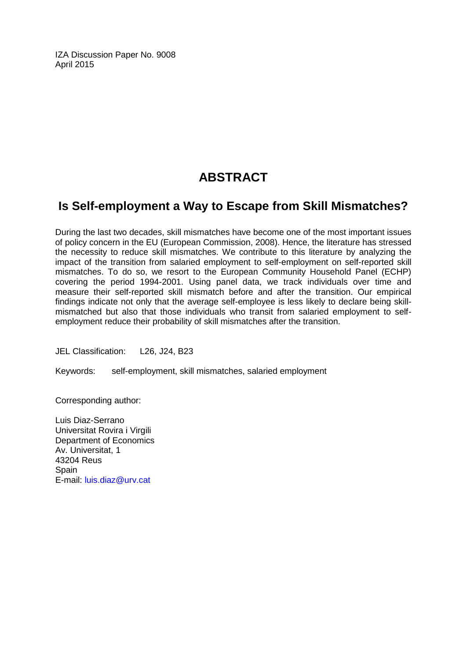IZA Discussion Paper No. 9008 April 2015

## **ABSTRACT**

## **Is Self-employment a Way to Escape from Skill Mismatches?**

During the last two decades, skill mismatches have become one of the most important issues of policy concern in the EU (European Commission, 2008). Hence, the literature has stressed the necessity to reduce skill mismatches. We contribute to this literature by analyzing the impact of the transition from salaried employment to self-employment on self-reported skill mismatches. To do so, we resort to the European Community Household Panel (ECHP) covering the period 1994-2001. Using panel data, we track individuals over time and measure their self-reported skill mismatch before and after the transition. Our empirical findings indicate not only that the average self-employee is less likely to declare being skillmismatched but also that those individuals who transit from salaried employment to selfemployment reduce their probability of skill mismatches after the transition.

JEL Classification: L26, J24, B23

Keywords: self-employment, skill mismatches, salaried employment

Corresponding author:

Luis Diaz-Serrano Universitat Rovira i Virgili Department of Economics Av. Universitat, 1 43204 Reus **Spain** E-mail: [luis.diaz@urv.cat](mailto:luis.diaz@urv.cat)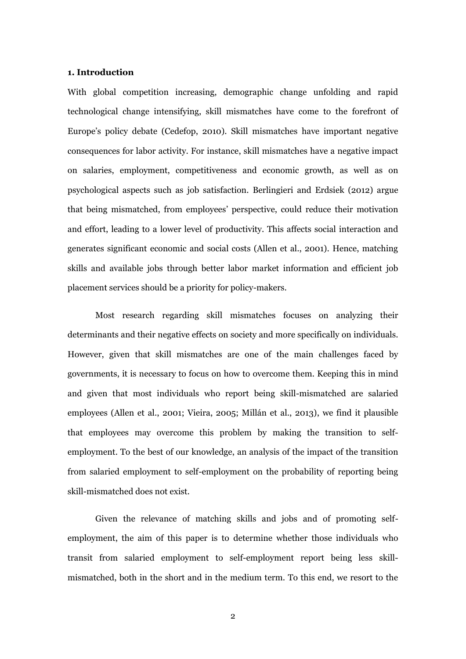#### **1. Introduction**

With global competition increasing, demographic change unfolding and rapid technological change intensifying, skill mismatches have come to the forefront of Europe's policy debate (Cedefop, 2010). Skill mismatches have important negative consequences for labor activity. For instance, skill mismatches have a negative impact on salaries, employment, competitiveness and economic growth, as well as on psychological aspects such as job satisfaction. Berlingieri and Erdsiek (2012) argue that being mismatched, from employees' perspective, could reduce their motivation and effort, leading to a lower level of productivity. This affects social interaction and generates significant economic and social costs (Allen et al., 2001). Hence, matching skills and available jobs through better labor market information and efficient job placement services should be a priority for policy-makers.

Most research regarding skill mismatches focuses on analyzing their determinants and their negative effects on society and more specifically on individuals. However, given that skill mismatches are one of the main challenges faced by governments, it is necessary to focus on how to overcome them. Keeping this in mind and given that most individuals who report being skill-mismatched are salaried employees (Allen et al., 2001; Vieira, 2005; Millán et al., 2013), we find it plausible that employees may overcome this problem by making the transition to selfemployment. To the best of our knowledge, an analysis of the impact of the transition from salaried employment to self-employment on the probability of reporting being skill-mismatched does not exist.

Given the relevance of matching skills and jobs and of promoting selfemployment, the aim of this paper is to determine whether those individuals who transit from salaried employment to self-employment report being less skillmismatched, both in the short and in the medium term. To this end, we resort to the

2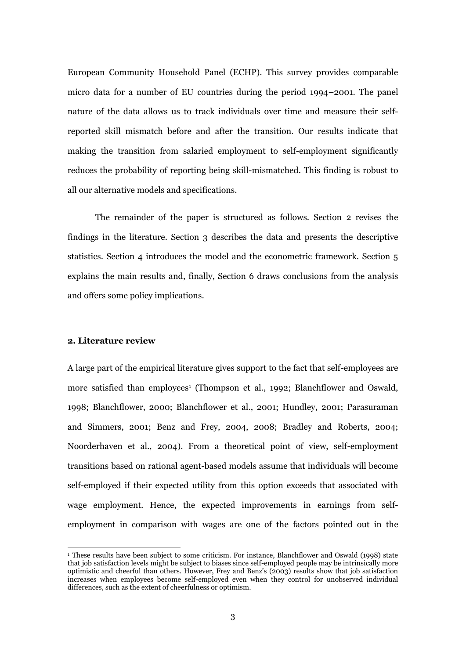European Community Household Panel (ECHP). This survey provides comparable micro data for a number of EU countries during the period 1994–2001. The panel nature of the data allows us to track individuals over time and measure their selfreported skill mismatch before and after the transition. Our results indicate that making the transition from salaried employment to self-employment significantly reduces the probability of reporting being skill-mismatched. This finding is robust to all our alternative models and specifications.

The remainder of the paper is structured as follows. Section 2 revises the findings in the literature. Section 3 describes the data and presents the descriptive statistics. Section 4 introduces the model and the econometric framework. Section 5 explains the main results and, finally, Section 6 draws conclusions from the analysis and offers some policy implications.

#### **2. Literature review**

 $\overline{\phantom{a}}$ 

A large part of the empirical literature gives support to the fact that self-employees are more satisfied than employees<sup>1</sup> (Thompson et al., 1992; Blanchflower and Oswald, 1998; Blanchflower, 2000; Blanchflower et al., 2001; Hundley, 2001; Parasuraman and Simmers, 2001; Benz and Frey, 2004, 2008; Bradley and Roberts, 2004; Noorderhaven et al., 2004). From a theoretical point of view, self-employment transitions based on rational agent-based models assume that individuals will become self-employed if their expected utility from this option exceeds that associated with wage employment. Hence, the expected improvements in earnings from selfemployment in comparison with wages are one of the factors pointed out in the

<sup>1</sup> These results have been subject to some criticism. For instance, Blanchflower and Oswald (1998) state that job satisfaction levels might be subject to biases since self-employed people may be intrinsically more optimistic and cheerful than others. However, Frey and Benz's (2003) results show that job satisfaction increases when employees become self-employed even when they control for unobserved individual differences, such as the extent of cheerfulness or optimism.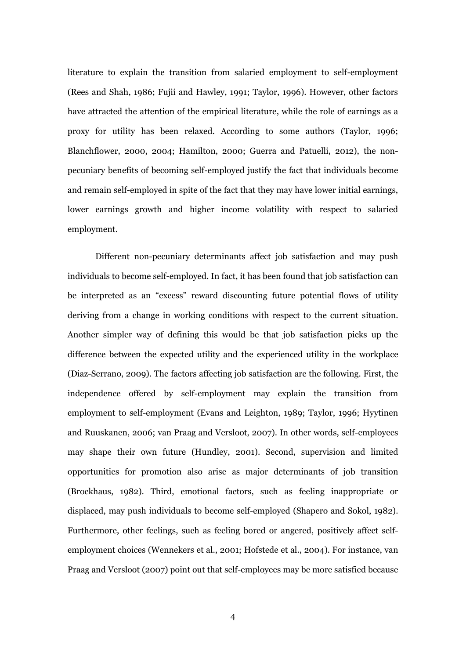literature to explain the transition from salaried employment to self-employment (Rees and Shah, 1986; Fujii and Hawley, 1991; Taylor, 1996). However, other factors have attracted the attention of the empirical literature, while the role of earnings as a proxy for utility has been relaxed. According to some authors (Taylor, 1996; Blanchflower, 2000, 2004; Hamilton, 2000; Guerra and Patuelli, 2012), the nonpecuniary benefits of becoming self-employed justify the fact that individuals become and remain self-employed in spite of the fact that they may have lower initial earnings, lower earnings growth and higher income volatility with respect to salaried employment.

Different non-pecuniary determinants affect job satisfaction and may push individuals to become self-employed. In fact, it has been found that job satisfaction can be interpreted as an "excess" reward discounting future potential flows of utility deriving from a change in working conditions with respect to the current situation. Another simpler way of defining this would be that job satisfaction picks up the difference between the expected utility and the experienced utility in the workplace (Diaz-Serrano, 2009). The factors affecting job satisfaction are the following. First, the independence offered by self-employment may explain the transition from employment to self-employment (Evans and Leighton, 1989; Taylor, 1996; Hyytinen and Ruuskanen, 2006; van Praag and Versloot, 2007). In other words, self-employees may shape their own future (Hundley, 2001). Second, supervision and limited opportunities for promotion also arise as major determinants of job transition (Brockhaus, 1982). Third, emotional factors, such as feeling inappropriate or displaced, may push individuals to become self-employed (Shapero and Sokol, 1982). Furthermore, other feelings, such as feeling bored or angered, positively affect selfemployment choices (Wennekers et al., 2001; Hofstede et al., 2004). For instance, van Praag and Versloot (2007) point out that self-employees may be more satisfied because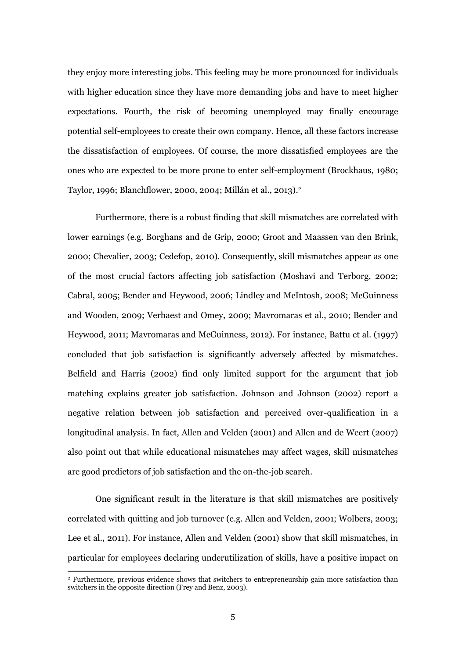they enjoy more interesting jobs. This feeling may be more pronounced for individuals with higher education since they have more demanding jobs and have to meet higher expectations. Fourth, the risk of becoming unemployed may finally encourage potential self-employees to create their own company. Hence, all these factors increase the dissatisfaction of employees. Of course, the more dissatisfied employees are the ones who are expected to be more prone to enter self-employment (Brockhaus, 1980; Taylor, 1996; Blanchflower, 2000, 2004; Millán et al., 2013). 2

Furthermore, there is a robust finding that skill mismatches are correlated with lower earnings (e.g. Borghans and de Grip, 2000; Groot and Maassen van den Brink, 2000; Chevalier, 2003; Cedefop, 2010). Consequently, skill mismatches appear as one of the most crucial factors affecting job satisfaction (Moshavi and Terborg, 2002; Cabral, 2005; Bender and Heywood, 2006; Lindley and McIntosh, 2008; McGuinness and Wooden, 2009; Verhaest and Omey, 2009; Mavromaras et al., 2010; Bender and Heywood, 2011; Mavromaras and McGuinness, 2012). For instance, Battu et al. (1997) concluded that job satisfaction is significantly adversely affected by mismatches. Belfield and Harris (2002) find only limited support for the argument that job matching explains greater job satisfaction. Johnson and Johnson (2002) report a negative relation between job satisfaction and perceived over-qualification in a longitudinal analysis. In fact, Allen and Velden (2001) and Allen and de Weert (2007) also point out that while educational mismatches may affect wages, skill mismatches are good predictors of job satisfaction and the on-the-job search.

One significant result in the literature is that skill mismatches are positively correlated with quitting and job turnover (e.g. Allen and Velden, 2001; Wolbers, 2003; Lee et al., 2011). For instance, Allen and Velden (2001) show that skill mismatches, in particular for employees declaring underutilization of skills, have a positive impact on

 $\overline{\phantom{a}}$ 

<sup>2</sup> Furthermore, previous evidence shows that switchers to entrepreneurship gain more satisfaction than switchers in the opposite direction (Frey and Benz, 2003).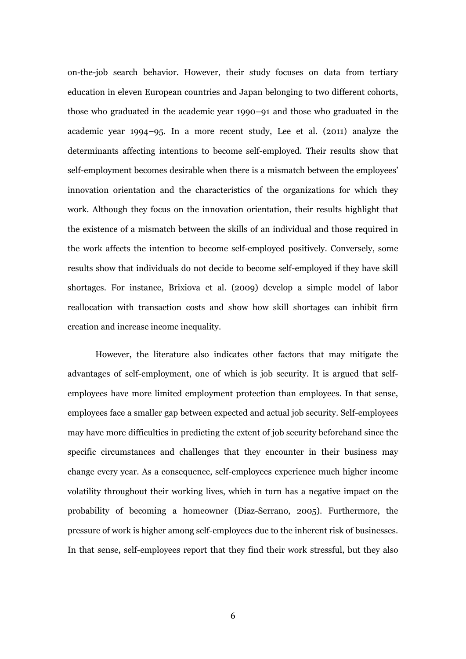on-the-job search behavior. However, their study focuses on data from tertiary education in eleven European countries and Japan belonging to two different cohorts, those who graduated in the academic year 1990–91 and those who graduated in the academic year 1994–95. In a more recent study, Lee et al. (2011) analyze the determinants affecting intentions to become self-employed. Their results show that self-employment becomes desirable when there is a mismatch between the employees' innovation orientation and the characteristics of the organizations for which they work. Although they focus on the innovation orientation, their results highlight that the existence of a mismatch between the skills of an individual and those required in the work affects the intention to become self-employed positively. Conversely, some results show that individuals do not decide to become self-employed if they have skill shortages. For instance, Brixiova et al. (2009) develop a simple model of labor reallocation with transaction costs and show how skill shortages can inhibit firm creation and increase income inequality.

However, the literature also indicates other factors that may mitigate the advantages of self-employment, one of which is job security. It is argued that selfemployees have more limited employment protection than employees. In that sense, employees face a smaller gap between expected and actual job security. Self-employees may have more difficulties in predicting the extent of job security beforehand since the specific circumstances and challenges that they encounter in their business may change every year. As a consequence, self-employees experience much higher income volatility throughout their working lives, which in turn has a negative impact on the probability of becoming a homeowner (Diaz-Serrano, 2005). Furthermore, the pressure of work is higher among self-employees due to the inherent risk of businesses. In that sense, self-employees report that they find their work stressful, but they also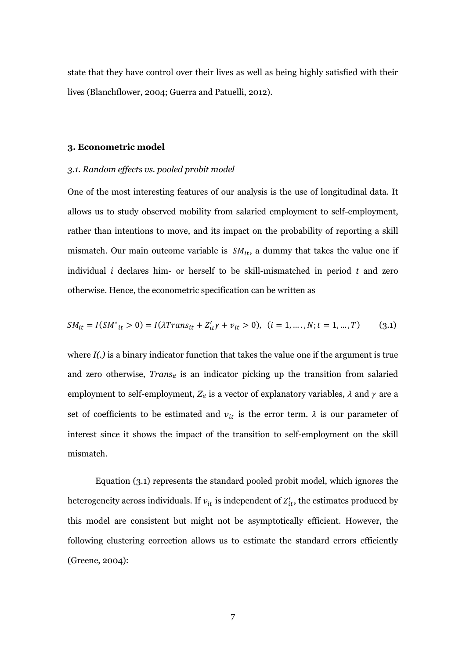state that they have control over their lives as well as being highly satisfied with their lives (Blanchflower, 2004; Guerra and Patuelli, 2012).

#### **3. Econometric model**

#### *3.1. Random effects vs. pooled probit model*

One of the most interesting features of our analysis is the use of longitudinal data. It allows us to study observed mobility from salaried employment to self-employment, rather than intentions to move, and its impact on the probability of reporting a skill mismatch. Our main outcome variable is  $SM_{it}$ , a dummy that takes the value one if individual *i* declares him- or herself to be skill-mismatched in period *t* and zero otherwise. Hence, the econometric specification can be written as

$$
SM_{it} = I(SM^*_{it} > 0) = I(\lambda Trans_{it} + Z'_{it}\gamma + v_{it} > 0), \ (i = 1, \dots, N; t = 1, \dots, T)
$$
 (3.1)

where  $I(.)$  is a binary indicator function that takes the value one if the argument is true and zero otherwise, *Transit* is an indicator picking up the transition from salaried employment to self-employment,  $Z_{it}$  is a vector of explanatory variables,  $\lambda$  and  $\gamma$  are a set of coefficients to be estimated and  $v_{it}$  is the error term.  $\lambda$  is our parameter of interest since it shows the impact of the transition to self-employment on the skill mismatch.

Equation (3.1) represents the standard pooled probit model, which ignores the heterogeneity across individuals. If  $v_{it}$  is independent of  $Z'_{it}$ , the estimates produced by this model are consistent but might not be asymptotically efficient. However, the following clustering correction allows us to estimate the standard errors efficiently (Greene, 2004):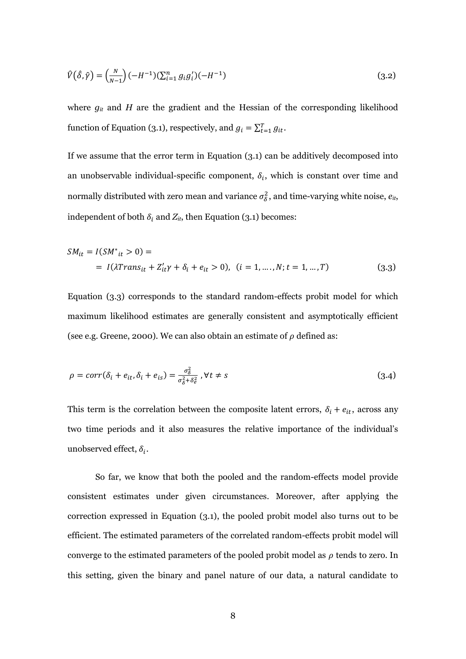$$
\hat{V}(\hat{\delta}, \hat{\gamma}) = \left(\frac{N}{N-1}\right)(-H^{-1})(\sum_{i=1}^{n} g_i g_i')(-H^{-1})
$$
\n(3.2)

where  $g_{it}$  and  $H$  are the gradient and the Hessian of the corresponding likelihood function of Equation (3.1), respectively, and  $g_i = \sum_{t=1}^{T} g_{it}$ .

If we assume that the error term in Equation (3.1) can be additively decomposed into an unobservable individual-specific component,  $\delta_i$ , which is constant over time and normally distributed with zero mean and variance  $\sigma_{\delta}^2$ , and time-varying white noise,  $e_{it}$ , independent of both  $\delta_i$  and  $Z_{it}$ , then Equation (3.1) becomes:

$$
SM_{it} = I(SM^*_{it} > 0) =
$$
  
= I(\lambda Trans\_{it} + Z'\_{it}\gamma + \delta\_i + e\_{it} > 0), (i = 1, ..., N; t = 1, ..., T) (3.3)

Equation (3.3) corresponds to the standard random-effects probit model for which maximum likelihood estimates are generally consistent and asymptotically efficient (see e.g. Greene, 2000). We can also obtain an estimate of  $\rho$  defined as:

$$
\rho = corr(\delta_i + e_{it}, \delta_i + e_{is}) = \frac{\sigma_{\delta}^2}{\sigma_{\delta}^2 + \delta_e^2}, \forall t \neq s
$$
\n(3.4)

This term is the correlation between the composite latent errors,  $\delta_i + e_{it}$ , across any two time periods and it also measures the relative importance of the individual's unobserved effect,  $\delta_i$ .

So far, we know that both the pooled and the random-effects model provide consistent estimates under given circumstances. Moreover, after applying the correction expressed in Equation (3.1), the pooled probit model also turns out to be efficient. The estimated parameters of the correlated random-effects probit model will converge to the estimated parameters of the pooled probit model as  $\rho$  tends to zero. In this setting, given the binary and panel nature of our data, a natural candidate to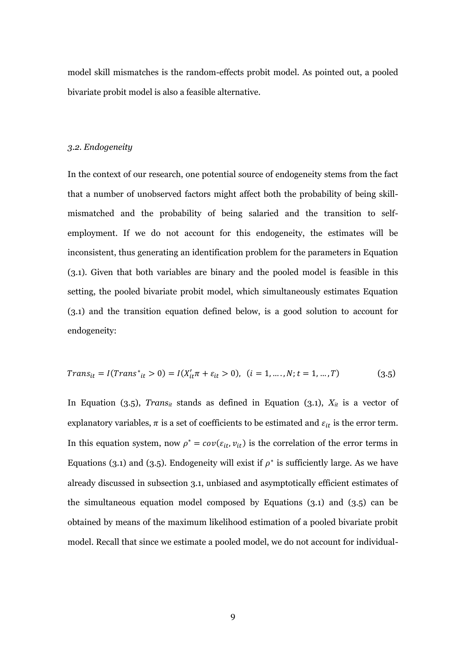model skill mismatches is the random-effects probit model. As pointed out, a pooled bivariate probit model is also a feasible alternative.

#### *3.2. Endogeneity*

In the context of our research, one potential source of endogeneity stems from the fact that a number of unobserved factors might affect both the probability of being skillmismatched and the probability of being salaried and the transition to selfemployment. If we do not account for this endogeneity, the estimates will be inconsistent, thus generating an identification problem for the parameters in Equation (3.1). Given that both variables are binary and the pooled model is feasible in this setting, the pooled bivariate probit model, which simultaneously estimates Equation (3.1) and the transition equation defined below, is a good solution to account for endogeneity:

$$
Trans_{it} = I(Trans^*_{it} > 0) = I(X_{it}' \pi + \varepsilon_{it} > 0), \ (i = 1, \dots, N; t = 1, \dots, T)
$$
\n(3.5)

In Equation (3.5), *Trans*<sup>*it*</sup> stands as defined in Equation (3.1),  $X_{it}$  is a vector of explanatory variables,  $\pi$  is a set of coefficients to be estimated and  $\varepsilon_{it}$  is the error term. In this equation system, now  $\rho^* = cov(\varepsilon_{it}, v_{it})$  is the correlation of the error terms in Equations (3.1) and (3.5). Endogeneity will exist if  $\rho^*$  is sufficiently large. As we have already discussed in subsection 3.1, unbiased and asymptotically efficient estimates of the simultaneous equation model composed by Equations (3.1) and (3.5) can be obtained by means of the maximum likelihood estimation of a pooled bivariate probit model. Recall that since we estimate a pooled model, we do not account for individual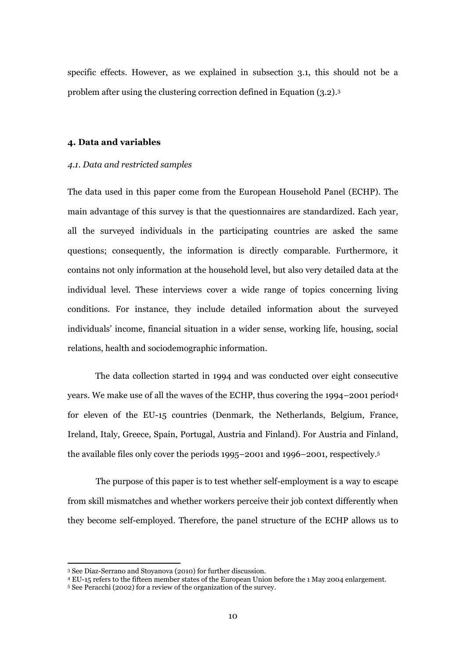specific effects. However, as we explained in subsection 3.1, this should not be a problem after using the clustering correction defined in Equation (3.2). 3

#### **4. Data and variables**

#### *4.1. Data and restricted samples*

The data used in this paper come from the European Household Panel (ECHP). The main advantage of this survey is that the questionnaires are standardized. Each year, all the surveyed individuals in the participating countries are asked the same questions; consequently, the information is directly comparable. Furthermore, it contains not only information at the household level, but also very detailed data at the individual level. These interviews cover a wide range of topics concerning living conditions. For instance, they include detailed information about the surveyed individuals' income, financial situation in a wider sense, working life, housing, social relations, health and sociodemographic information.

The data collection started in 1994 and was conducted over eight consecutive years. We make use of all the waves of the ECHP, thus covering the 1994–2001 period<sup>4</sup> for eleven of the EU-15 countries (Denmark, the Netherlands, Belgium, France, Ireland, Italy, Greece, Spain, Portugal, Austria and Finland). For Austria and Finland, the available files only cover the periods 1995–2001 and 1996–2001, respectively. 5

The purpose of this paper is to test whether self-employment is a way to escape from skill mismatches and whether workers perceive their job context differently when they become self-employed. Therefore, the panel structure of the ECHP allows us to

 $\overline{a}$ 

<sup>3</sup> See Diaz-Serrano and Stoyanova (2010) for further discussion.

<sup>4</sup> EU-15 refers to the fifteen member states of the European Union before the 1 May 2004 enlargement.

<sup>5</sup> See Peracchi (2002) for a review of the organization of the survey.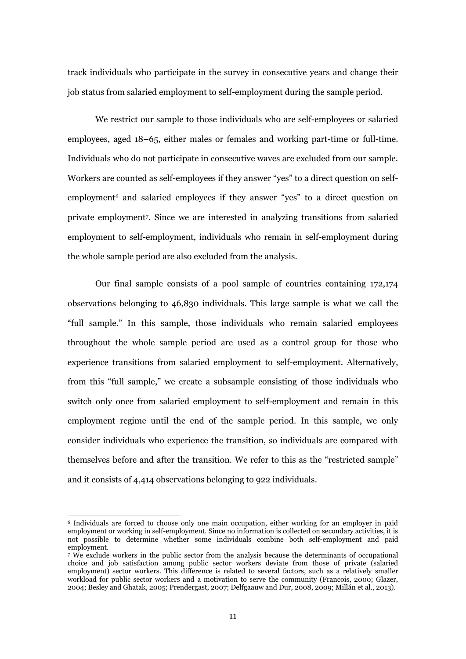track individuals who participate in the survey in consecutive years and change their job status from salaried employment to self-employment during the sample period.

We restrict our sample to those individuals who are self-employees or salaried employees, aged 18–65, either males or females and working part-time or full-time. Individuals who do not participate in consecutive waves are excluded from our sample. Workers are counted as self-employees if they answer "yes" to a direct question on selfemployment<sup>6</sup> and salaried employees if they answer "yes" to a direct question on private employment<sup>7</sup> . Since we are interested in analyzing transitions from salaried employment to self-employment, individuals who remain in self-employment during the whole sample period are also excluded from the analysis.

Our final sample consists of a pool sample of countries containing 172,174 observations belonging to 46,830 individuals. This large sample is what we call the "full sample." In this sample, those individuals who remain salaried employees throughout the whole sample period are used as a control group for those who experience transitions from salaried employment to self-employment. Alternatively, from this "full sample," we create a subsample consisting of those individuals who switch only once from salaried employment to self-employment and remain in this employment regime until the end of the sample period. In this sample, we only consider individuals who experience the transition, so individuals are compared with themselves before and after the transition. We refer to this as the "restricted sample" and it consists of 4,414 observations belonging to 922 individuals.

 $\overline{\phantom{a}}$ 

<sup>6</sup> Individuals are forced to choose only one main occupation, either working for an employer in paid employment or working in self-employment. Since no information is collected on secondary activities, it is not possible to determine whether some individuals combine both self-employment and paid employment.

<sup>7</sup> We exclude workers in the public sector from the analysis because the determinants of occupational choice and job satisfaction among public sector workers deviate from those of private (salaried employment) sector workers. This difference is related to several factors, such as a relatively smaller workload for public sector workers and a motivation to serve the community (Francois, 2000; Glazer, 2004; Besley and Ghatak, 2005; Prendergast, 2007; Delfgaauw and Dur, 2008, 2009; Millán et al., 2013).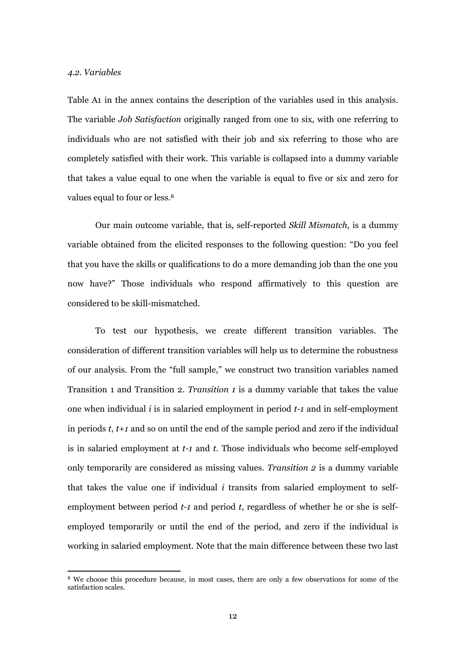#### *4.2. Variables*

 $\overline{\phantom{a}}$ 

Table A1 in the annex contains the description of the variables used in this analysis. The variable *Job Satisfaction* originally ranged from one to six, with one referring to individuals who are not satisfied with their job and six referring to those who are completely satisfied with their work. This variable is collapsed into a dummy variable that takes a value equal to one when the variable is equal to five or six and zero for values equal to four or less. 8

Our main outcome variable, that is, self-reported *Skill Mismatch*, is a dummy variable obtained from the elicited responses to the following question: "Do you feel that you have the skills or qualifications to do a more demanding job than the one you now have?" Those individuals who respond affirmatively to this question are considered to be skill-mismatched.

To test our hypothesis, we create different transition variables. The consideration of different transition variables will help us to determine the robustness of our analysis. From the "full sample," we construct two transition variables named Transition 1 and Transition 2. *Transition 1* is a dummy variable that takes the value one when individual *i* is in salaried employment in period *t-1* and in self-employment in periods *t*, *t+1* and so on until the end of the sample period and zero if the individual is in salaried employment at *t-1* and *t*. Those individuals who become self-employed only temporarily are considered as missing values. *Transition 2* is a dummy variable that takes the value one if individual *i* transits from salaried employment to selfemployment between period *t-1* and period *t*, regardless of whether he or she is selfemployed temporarily or until the end of the period, and zero if the individual is working in salaried employment. Note that the main difference between these two last

<sup>8</sup> We choose this procedure because, in most cases, there are only a few observations for some of the satisfaction scales.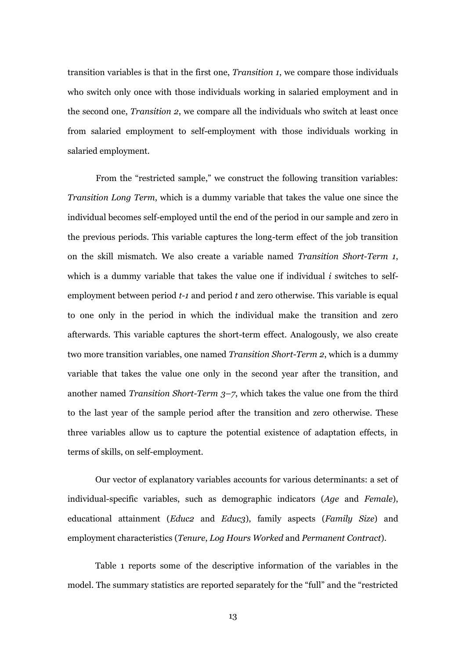transition variables is that in the first one, *Transition 1*, we compare those individuals who switch only once with those individuals working in salaried employment and in the second one, *Transition 2*, we compare all the individuals who switch at least once from salaried employment to self-employment with those individuals working in salaried employment.

From the "restricted sample," we construct the following transition variables: *Transition Long Term*, which is a dummy variable that takes the value one since the individual becomes self-employed until the end of the period in our sample and zero in the previous periods. This variable captures the long-term effect of the job transition on the skill mismatch. We also create a variable named *Transition Short-Term 1*, which is a dummy variable that takes the value one if individual *i* switches to selfemployment between period *t-1* and period *t* and zero otherwise. This variable is equal to one only in the period in which the individual make the transition and zero afterwards. This variable captures the short-term effect. Analogously, we also create two more transition variables, one named *Transition Short-Term 2*, which is a dummy variable that takes the value one only in the second year after the transition, and another named *Transition Short-Term 3–7*, which takes the value one from the third to the last year of the sample period after the transition and zero otherwise. These three variables allow us to capture the potential existence of adaptation effects, in terms of skills, on self-employment.

Our vector of explanatory variables accounts for various determinants: a set of individual-specific variables, such as demographic indicators (*Age* and *Female*), educational attainment (*Educ2* and *Educ3*), family aspects (*Family Size*) and employment characteristics (*Tenure*, *Log Hours Worked* and *Permanent Contract*).

Table 1 reports some of the descriptive information of the variables in the model. The summary statistics are reported separately for the "full" and the "restricted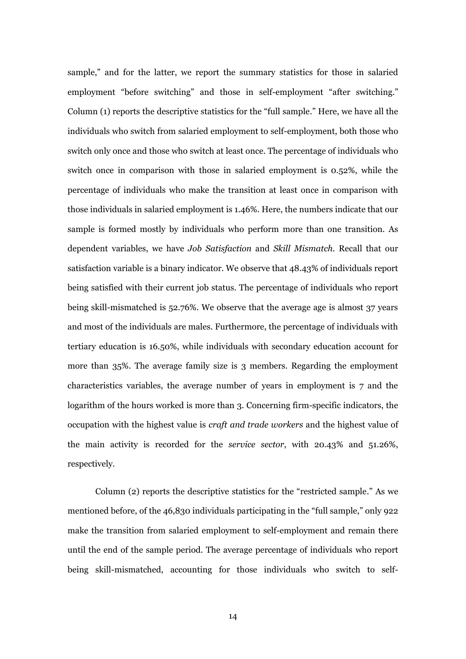sample," and for the latter, we report the summary statistics for those in salaried employment "before switching" and those in self-employment "after switching." Column (1) reports the descriptive statistics for the "full sample." Here, we have all the individuals who switch from salaried employment to self-employment, both those who switch only once and those who switch at least once. The percentage of individuals who switch once in comparison with those in salaried employment is 0.52%, while the percentage of individuals who make the transition at least once in comparison with those individuals in salaried employment is 1.46%. Here, the numbers indicate that our sample is formed mostly by individuals who perform more than one transition. As dependent variables, we have *Job Satisfaction* and *Skill Mismatch.* Recall that our satisfaction variable is a binary indicator. We observe that 48.43% of individuals report being satisfied with their current job status. The percentage of individuals who report being skill-mismatched is 52.76%. We observe that the average age is almost 37 years and most of the individuals are males. Furthermore, the percentage of individuals with tertiary education is 16.50%, while individuals with secondary education account for more than 35%. The average family size is 3 members. Regarding the employment characteristics variables, the average number of years in employment is 7 and the logarithm of the hours worked is more than 3. Concerning firm-specific indicators, the occupation with the highest value is *craft and trade workers* and the highest value of the main activity is recorded for the *service sector*, with 20.43% and 51.26%, respectively.

Column (2) reports the descriptive statistics for the "restricted sample." As we mentioned before, of the 46,830 individuals participating in the "full sample," only 922 make the transition from salaried employment to self-employment and remain there until the end of the sample period. The average percentage of individuals who report being skill-mismatched, accounting for those individuals who switch to self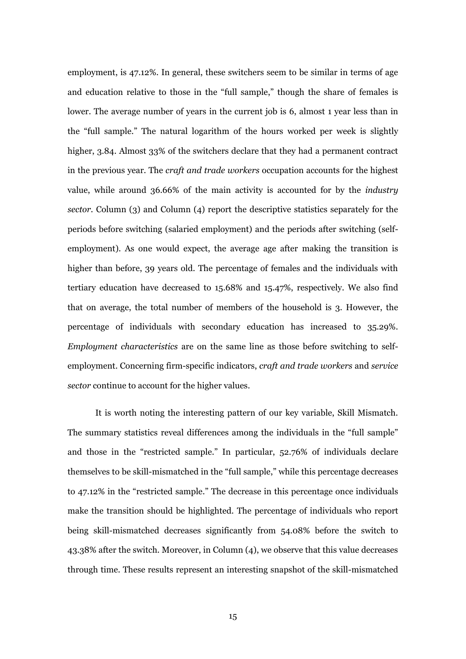employment, is 47.12%. In general, these switchers seem to be similar in terms of age and education relative to those in the "full sample," though the share of females is lower. The average number of years in the current job is 6, almost 1 year less than in the "full sample." The natural logarithm of the hours worked per week is slightly higher, 3.84. Almost 33% of the switchers declare that they had a permanent contract in the previous year. The *craft and trade workers* occupation accounts for the highest value, while around 36.66% of the main activity is accounted for by the *industry sector.* Column (3) and Column (4) report the descriptive statistics separately for the periods before switching (salaried employment) and the periods after switching (selfemployment). As one would expect, the average age after making the transition is higher than before, 39 years old. The percentage of females and the individuals with tertiary education have decreased to 15.68% and 15.47%, respectively. We also find that on average, the total number of members of the household is 3. However, the percentage of individuals with secondary education has increased to 35.29%. *Employment characteristics* are on the same line as those before switching to selfemployment. Concerning firm-specific indicators, *craft and trade workers* and *service sector* continue to account for the higher values.

It is worth noting the interesting pattern of our key variable, Skill Mismatch. The summary statistics reveal differences among the individuals in the "full sample" and those in the "restricted sample." In particular, 52.76% of individuals declare themselves to be skill-mismatched in the "full sample," while this percentage decreases to 47.12% in the "restricted sample." The decrease in this percentage once individuals make the transition should be highlighted. The percentage of individuals who report being skill-mismatched decreases significantly from 54.08% before the switch to 43.38% after the switch. Moreover, in Column (4), we observe that this value decreases through time. These results represent an interesting snapshot of the skill-mismatched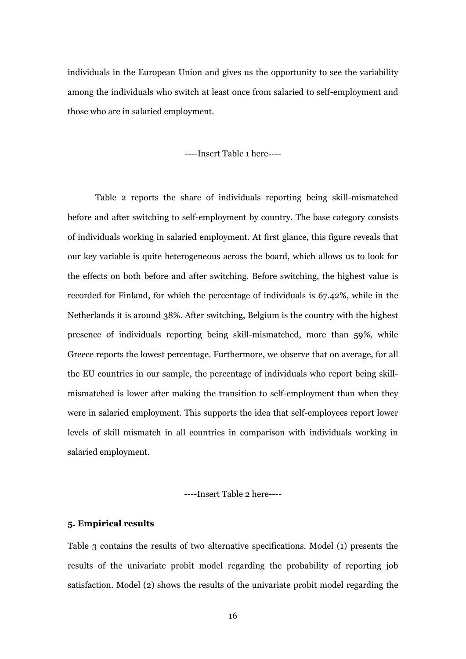individuals in the European Union and gives us the opportunity to see the variability among the individuals who switch at least once from salaried to self-employment and those who are in salaried employment.

----Insert Table 1 here----

Table 2 reports the share of individuals reporting being skill-mismatched before and after switching to self-employment by country. The base category consists of individuals working in salaried employment. At first glance, this figure reveals that our key variable is quite heterogeneous across the board, which allows us to look for the effects on both before and after switching. Before switching, the highest value is recorded for Finland, for which the percentage of individuals is 67.42%, while in the Netherlands it is around 38%. After switching, Belgium is the country with the highest presence of individuals reporting being skill-mismatched, more than 59%, while Greece reports the lowest percentage. Furthermore, we observe that on average, for all the EU countries in our sample, the percentage of individuals who report being skillmismatched is lower after making the transition to self-employment than when they were in salaried employment. This supports the idea that self-employees report lower levels of skill mismatch in all countries in comparison with individuals working in salaried employment.

----Insert Table 2 here----

#### **5. Empirical results**

Table 3 contains the results of two alternative specifications. Model (1) presents the results of the univariate probit model regarding the probability of reporting job satisfaction. Model (2) shows the results of the univariate probit model regarding the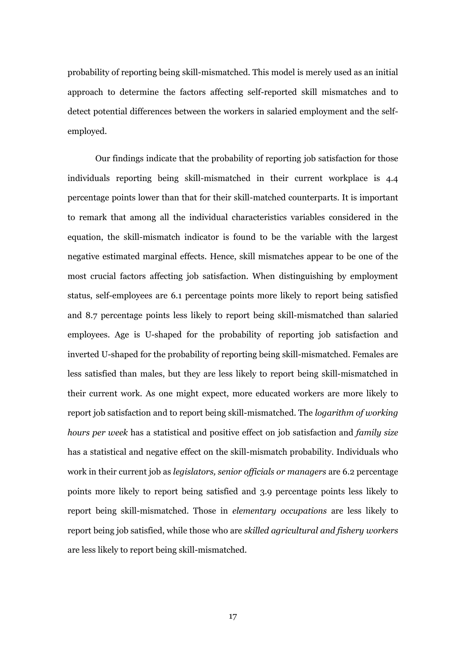probability of reporting being skill-mismatched. This model is merely used as an initial approach to determine the factors affecting self-reported skill mismatches and to detect potential differences between the workers in salaried employment and the selfemployed.

Our findings indicate that the probability of reporting job satisfaction for those individuals reporting being skill-mismatched in their current workplace is 4.4 percentage points lower than that for their skill-matched counterparts. It is important to remark that among all the individual characteristics variables considered in the equation, the skill-mismatch indicator is found to be the variable with the largest negative estimated marginal effects. Hence, skill mismatches appear to be one of the most crucial factors affecting job satisfaction. When distinguishing by employment status, self-employees are 6.1 percentage points more likely to report being satisfied and 8.7 percentage points less likely to report being skill-mismatched than salaried employees. Age is U-shaped for the probability of reporting job satisfaction and inverted U-shaped for the probability of reporting being skill-mismatched. Females are less satisfied than males, but they are less likely to report being skill-mismatched in their current work. As one might expect, more educated workers are more likely to report job satisfaction and to report being skill-mismatched. The *logarithm of working hours per week* has a statistical and positive effect on job satisfaction and *family size* has a statistical and negative effect on the skill-mismatch probability. Individuals who work in their current job as *legislators, senior officials or managers* are 6.2 percentage points more likely to report being satisfied and 3.9 percentage points less likely to report being skill-mismatched. Those in *elementary occupations* are less likely to report being job satisfied, while those who are *skilled agricultural and fishery workers*  are less likely to report being skill-mismatched.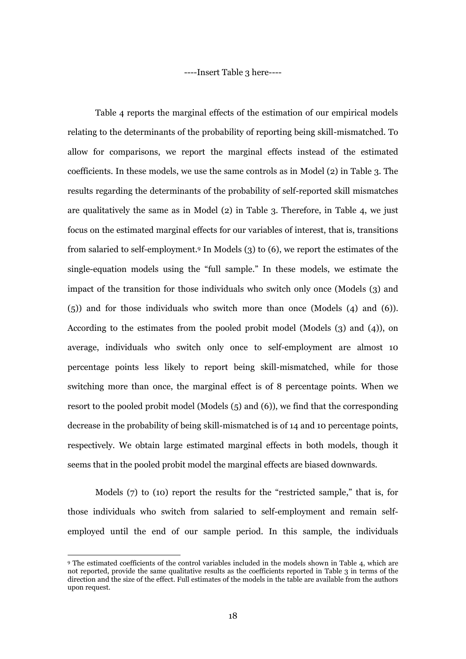----Insert Table 3 here----

Table 4 reports the marginal effects of the estimation of our empirical models relating to the determinants of the probability of reporting being skill-mismatched. To allow for comparisons, we report the marginal effects instead of the estimated coefficients. In these models, we use the same controls as in Model (2) in Table 3. The results regarding the determinants of the probability of self-reported skill mismatches are qualitatively the same as in Model (2) in Table 3. Therefore, in Table 4, we just focus on the estimated marginal effects for our variables of interest, that is, transitions from salaried to self-employment.<sup>9</sup> In Models (3) to (6), we report the estimates of the single-equation models using the "full sample." In these models, we estimate the impact of the transition for those individuals who switch only once (Models (3) and (5)) and for those individuals who switch more than once (Models (4) and (6)). According to the estimates from the pooled probit model (Models (3) and (4)), on average, individuals who switch only once to self-employment are almost 10 percentage points less likely to report being skill-mismatched, while for those switching more than once, the marginal effect is of 8 percentage points. When we resort to the pooled probit model (Models (5) and (6)), we find that the corresponding decrease in the probability of being skill-mismatched is of 14 and 10 percentage points, respectively. We obtain large estimated marginal effects in both models, though it seems that in the pooled probit model the marginal effects are biased downwards.

Models (7) to (10) report the results for the "restricted sample," that is, for those individuals who switch from salaried to self-employment and remain selfemployed until the end of our sample period. In this sample, the individuals

 $\overline{\phantom{a}}$ 

<sup>9</sup> The estimated coefficients of the control variables included in the models shown in Table 4, which are not reported, provide the same qualitative results as the coefficients reported in Table 3 in terms of the direction and the size of the effect. Full estimates of the models in the table are available from the authors upon request.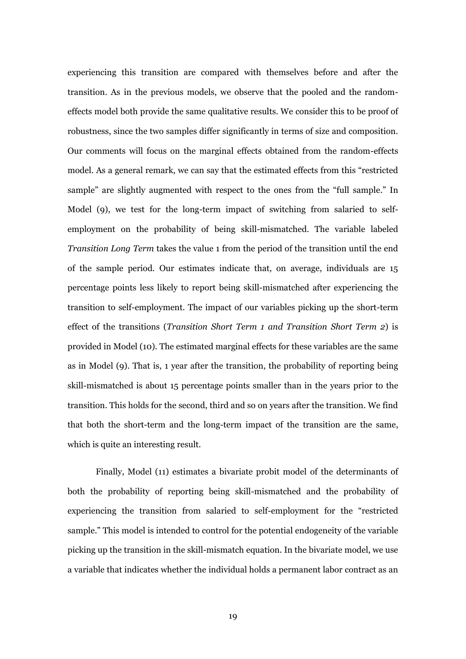experiencing this transition are compared with themselves before and after the transition. As in the previous models, we observe that the pooled and the randomeffects model both provide the same qualitative results. We consider this to be proof of robustness, since the two samples differ significantly in terms of size and composition. Our comments will focus on the marginal effects obtained from the random-effects model. As a general remark, we can say that the estimated effects from this "restricted sample" are slightly augmented with respect to the ones from the "full sample." In Model (9), we test for the long-term impact of switching from salaried to selfemployment on the probability of being skill-mismatched. The variable labeled *Transition Long Term* takes the value 1 from the period of the transition until the end of the sample period. Our estimates indicate that, on average, individuals are 15 percentage points less likely to report being skill-mismatched after experiencing the transition to self-employment. The impact of our variables picking up the short-term effect of the transitions (*Transition Short Term 1 and Transition Short Term 2*) is provided in Model (10). The estimated marginal effects for these variables are the same as in Model (9). That is, 1 year after the transition, the probability of reporting being skill-mismatched is about 15 percentage points smaller than in the years prior to the transition. This holds for the second, third and so on years after the transition. We find that both the short-term and the long-term impact of the transition are the same, which is quite an interesting result.

Finally, Model (11) estimates a bivariate probit model of the determinants of both the probability of reporting being skill-mismatched and the probability of experiencing the transition from salaried to self-employment for the "restricted sample." This model is intended to control for the potential endogeneity of the variable picking up the transition in the skill-mismatch equation. In the bivariate model, we use a variable that indicates whether the individual holds a permanent labor contract as an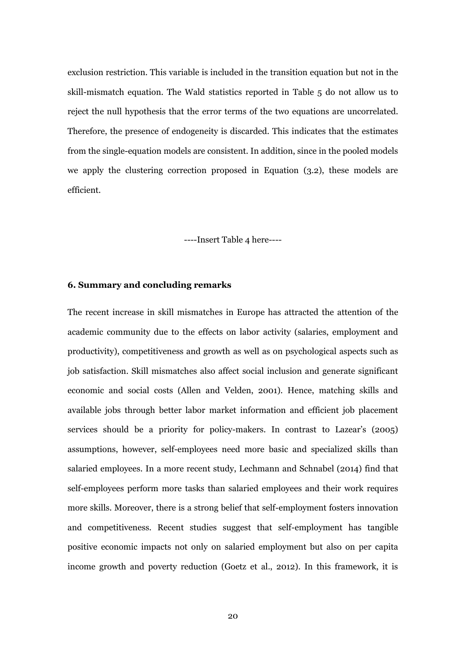exclusion restriction. This variable is included in the transition equation but not in the skill-mismatch equation. The Wald statistics reported in Table 5 do not allow us to reject the null hypothesis that the error terms of the two equations are uncorrelated. Therefore, the presence of endogeneity is discarded. This indicates that the estimates from the single-equation models are consistent. In addition, since in the pooled models we apply the clustering correction proposed in Equation (3.2), these models are efficient.

----Insert Table 4 here----

#### **6. Summary and concluding remarks**

The recent increase in skill mismatches in Europe has attracted the attention of the academic community due to the effects on labor activity (salaries, employment and productivity), competitiveness and growth as well as on psychological aspects such as job satisfaction. Skill mismatches also affect social inclusion and generate significant economic and social costs (Allen and Velden, 2001). Hence, matching skills and available jobs through better labor market information and efficient job placement services should be a priority for policy-makers. In contrast to Lazear's (2005) assumptions, however, self-employees need more basic and specialized skills than salaried employees. In a more recent study, Lechmann and Schnabel (2014) find that self-employees perform more tasks than salaried employees and their work requires more skills. Moreover, there is a strong belief that self-employment fosters innovation and competitiveness. Recent studies suggest that self-employment has tangible positive economic impacts not only on salaried employment but also on per capita income growth and poverty reduction (Goetz et al., 2012). In this framework, it is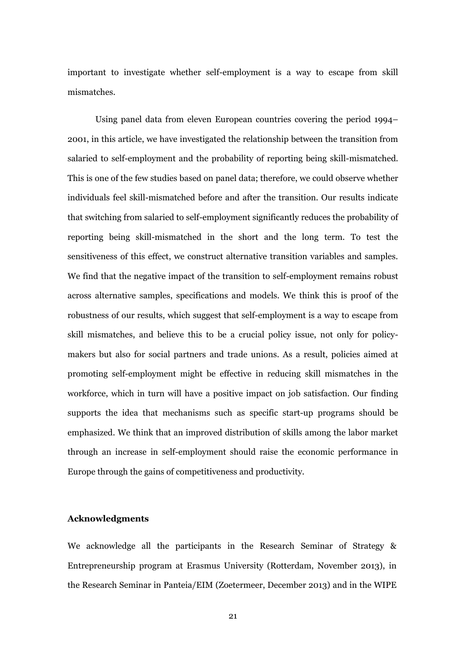important to investigate whether self-employment is a way to escape from skill mismatches.

Using panel data from eleven European countries covering the period 1994– 2001, in this article, we have investigated the relationship between the transition from salaried to self-employment and the probability of reporting being skill-mismatched. This is one of the few studies based on panel data; therefore, we could observe whether individuals feel skill-mismatched before and after the transition. Our results indicate that switching from salaried to self-employment significantly reduces the probability of reporting being skill-mismatched in the short and the long term. To test the sensitiveness of this effect, we construct alternative transition variables and samples. We find that the negative impact of the transition to self-employment remains robust across alternative samples, specifications and models. We think this is proof of the robustness of our results, which suggest that self-employment is a way to escape from skill mismatches, and believe this to be a crucial policy issue, not only for policymakers but also for social partners and trade unions. As a result, policies aimed at promoting self-employment might be effective in reducing skill mismatches in the workforce, which in turn will have a positive impact on job satisfaction. Our finding supports the idea that mechanisms such as specific start-up programs should be emphasized. We think that an improved distribution of skills among the labor market through an increase in self-employment should raise the economic performance in Europe through the gains of competitiveness and productivity.

#### **Acknowledgments**

We acknowledge all the participants in the Research Seminar of Strategy & Entrepreneurship program at Erasmus University (Rotterdam, November 2013), in the Research Seminar in Panteia/EIM (Zoetermeer, December 2013) and in the WIPE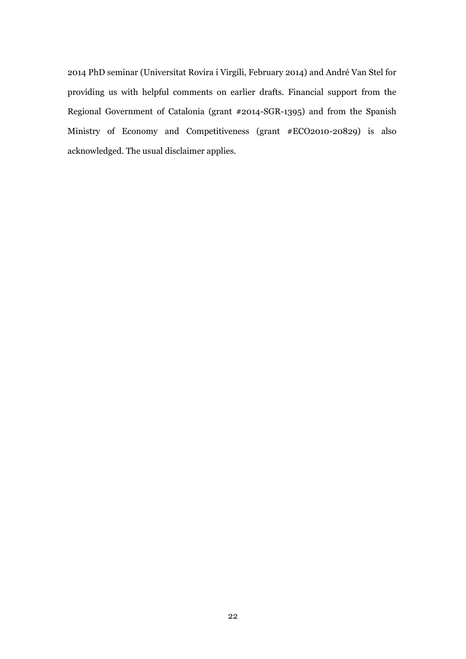2014 PhD seminar (Universitat Rovira i Virgili, February 2014) and André Van Stel for providing us with helpful comments on earlier drafts. Financial support from the Regional Government of Catalonia (grant #2014-SGR-1395) and from the Spanish Ministry of Economy and Competitiveness (grant #ECO2010-20829) is also acknowledged. The usual disclaimer applies.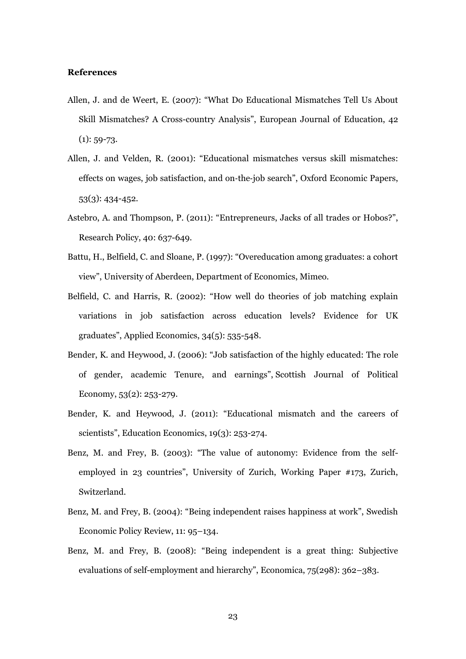#### **References**

- Allen, J. and de Weert, E. (2007): "What Do Educational Mismatches Tell Us About Skill Mismatches? A Cross-country Analysis", European Journal of Education, 42  $(1): 59 - 73.$
- Allen, J. and Velden, R. (2001): "Educational mismatches versus skill mismatches: effects on wages, job satisfaction, and on‐the‐job search", Oxford Economic Papers, 53(3): 434-452.
- Astebro, A. and Thompson, P. (2011): "Entrepreneurs, Jacks of all trades or Hobos?", Research Policy, 40: 637-649.
- Battu, H., Belfield, C. and Sloane, P. (1997): "Overeducation among graduates: a cohort view", University of Aberdeen, Department of Economics, Mimeo.
- Belfield, C. and Harris, R. (2002): "How well do theories of job matching explain variations in job satisfaction across education levels? Evidence for UK graduates", Applied Economics, 34(5): 535-548.
- Bender, K. and Heywood, J. (2006): "Job satisfaction of the highly educated: The role of gender, academic Tenure, and earnings", Scottish Journal of Political Economy, 53(2): 253-279.
- Bender, K. and Heywood, J. (2011): "Educational mismatch and the careers of scientists", Education Economics, 19(3): 253-274.
- Benz, M. and Frey, B. (2003): "The value of autonomy: Evidence from the selfemployed in 23 countries", University of Zurich, Working Paper #173, Zurich, Switzerland.
- Benz, M. and Frey, B. (2004): "Being independent raises happiness at work", Swedish Economic Policy Review, 11: 95–134.
- Benz, M. and Frey, B. (2008): "Being independent is a great thing: Subjective evaluations of self-employment and hierarchy", Economica, 75(298): 362–383.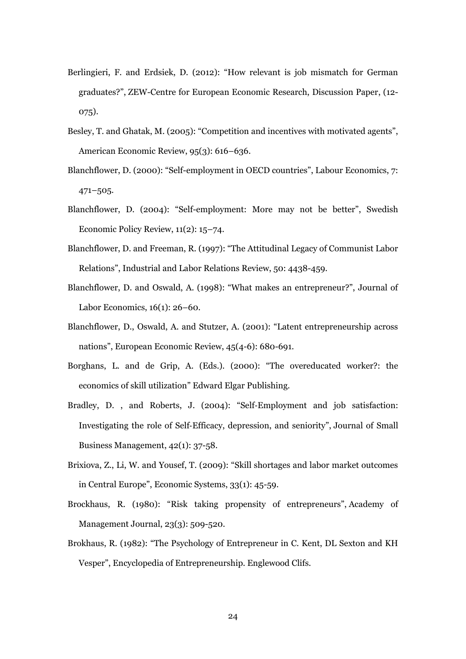- Berlingieri, F. and Erdsiek, D. (2012): "How relevant is job mismatch for German graduates?", ZEW-Centre for European Economic Research, Discussion Paper, (12- 075).
- Besley, T. and Ghatak, M. (2005): "Competition and incentives with motivated agents", American Economic Review, 95(3): 616–636.
- Blanchflower, D. (2000): "Self-employment in OECD countries", Labour Economics, 7: 471–505.
- Blanchflower, D. (2004): "Self-employment: More may not be better", Swedish Economic Policy Review, 11(2): 15–74.
- Blanchflower, D. and Freeman, R. (1997): "The Attitudinal Legacy of Communist Labor Relations", Industrial and Labor Relations Review, 50: 4438-459.
- Blanchflower, D. and Oswald, A. (1998): "What makes an entrepreneur?", Journal of Labor Economics, 16(1): 26–60.
- Blanchflower, D., Oswald, A. and Stutzer, A. (2001): "Latent entrepreneurship across nations", European Economic Review, 45(4-6): 680-691.
- Borghans, L. and de Grip, A. (Eds.). (2000): "The overeducated worker?: the economics of skill utilization" Edward Elgar Publishing.
- Bradley, D. , and Roberts, J. (2004): "Self‐Employment and job satisfaction: Investigating the role of Self‐Efficacy, depression, and seniority", Journal of Small Business Management, 42(1): 37-58.
- Brixiova, Z., Li, W. and Yousef, T. (2009): "Skill shortages and labor market outcomes in Central Europe", Economic Systems, 33(1): 45-59.
- Brockhaus, R. (1980): "Risk taking propensity of entrepreneurs", Academy of Management Journal, 23(3): 509-520.
- Brokhaus, R. (1982): "The Psychology of Entrepreneur in C. Kent, DL Sexton and KH Vesper", Encyclopedia of Entrepreneurship. Englewood Clifs.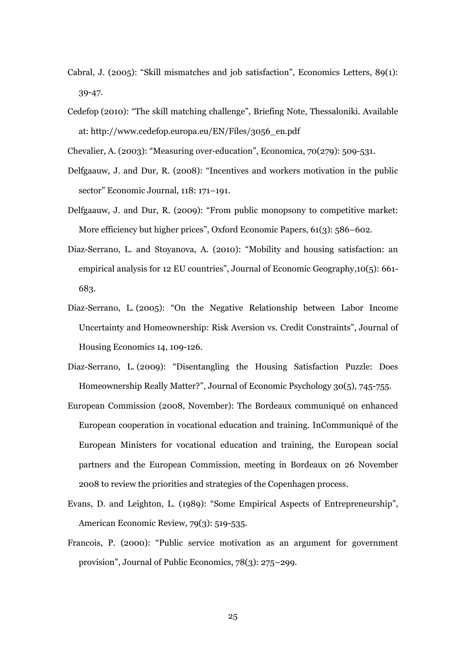- Cabral, J. (2005): "Skill mismatches and job satisfaction", Economics Letters, 89(1): 39-47.
- Cedefop (2010): "The skill matching challenge", Briefing Note, Thessaloniki. Available at: http://www.cedefop.europa.eu/EN/Files/3056\_en.pdf
- Chevalier, A. (2003): "Measuring over‐education", Economica, 70(279): 509-531.
- Delfgaauw, J. and Dur, R. (2008): "Incentives and workers motivation in the public sector" Economic Journal, 118: 171–191.
- Delfgaauw, J. and Dur, R. (2009): "From public monopsony to competitive market: More efficiency but higher prices", Oxford Economic Papers, 61(3): 586–602.
- Diaz-Serrano, L. and Stoyanova, A. (2010): "Mobility and housing satisfaction: an empirical analysis for 12 EU countries", Journal of Economic Geography,10(5): 661- 683.
- Diaz-Serrano, L. (2005): "On the Negative Relationship between Labor Income Uncertainty and Homeownership: Risk Aversion vs. Credit Constraints", Journal of Housing Economics 14, 109-126.
- Diaz-Serrano, L. (2009): "Disentangling the Housing Satisfaction Puzzle: Does Homeownership Really Matter?", Journal of Economic Psychology 30(5), 745-755.
- European Commission (2008, November): The Bordeaux communiqué on enhanced European cooperation in vocational education and training. InCommuniqué of the European Ministers for vocational education and training, the European social partners and the European Commission, meeting in Bordeaux on 26 November 2008 to review the priorities and strategies of the Copenhagen process.
- Evans, D. and Leighton, L. (1989): "Some Empirical Aspects of Entrepreneurship", American Economic Review, 79(3): 519-535.
- Francois, P. (2000): "Public service motivation as an argument for government provision", Journal of Public Economics, 78(3): 275–299.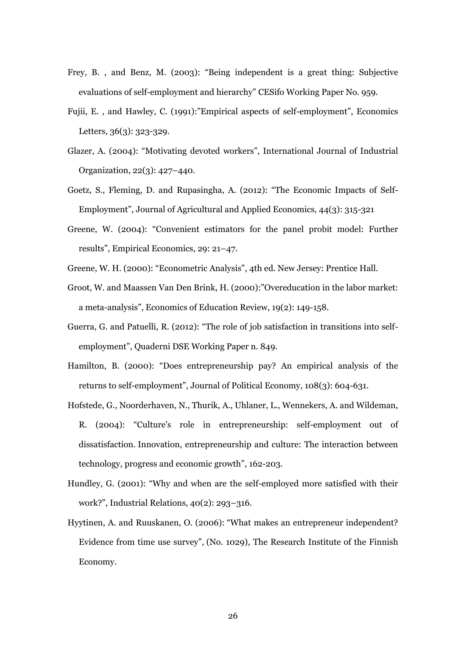- Frey, B. , and Benz, M. (2003): "Being independent is a great thing: Subjective evaluations of self-employment and hierarchy" CESifo Working Paper No. 959.
- Fujii, E. , and Hawley, C. (1991):"Empirical aspects of self-employment", Economics Letters, 36(3): 323-329.
- Glazer, A. (2004): "Motivating devoted workers", International Journal of Industrial Organization, 22(3): 427–440.
- Goetz, S., Fleming, D. and Rupasingha, A. (2012): "The Economic Impacts of Self-Employment", Journal of Agricultural and Applied Economics, 44(3): 315-321
- Greene, W. (2004): "Convenient estimators for the panel probit model: Further results", Empirical Economics, 29: 21–47.
- Greene, W. H. (2000): "Econometric Analysis", 4th ed. New Jersey: Prentice Hall.
- Groot, W. and Maassen Van Den Brink, H. (2000):"Overeducation in the labor market: a meta-analysis", Economics of Education Review, 19(2): 149-158.
- Guerra, G. and Patuelli, R. (2012): "The role of job satisfaction in transitions into selfemployment", Quaderni DSE Working Paper n. 849.
- Hamilton, B. (2000): "Does entrepreneurship pay? An empirical analysis of the returns to self-employment", Journal of Political Economy, 108(3): 604-631.
- Hofstede, G., Noorderhaven, N., Thurik, A., Uhlaner, L., Wennekers, A. and Wildeman, R. (2004): "Culture's role in entrepreneurship: self-employment out of dissatisfaction. Innovation, entrepreneurship and culture: The interaction between technology, progress and economic growth", 162-203.
- Hundley, G. (2001): "Why and when are the self-employed more satisfied with their work?", Industrial Relations, 40(2): 293–316.
- Hyytinen, A. and Ruuskanen, O. (2006): "What makes an entrepreneur independent? Evidence from time use survey", (No. 1029), The Research Institute of the Finnish Economy.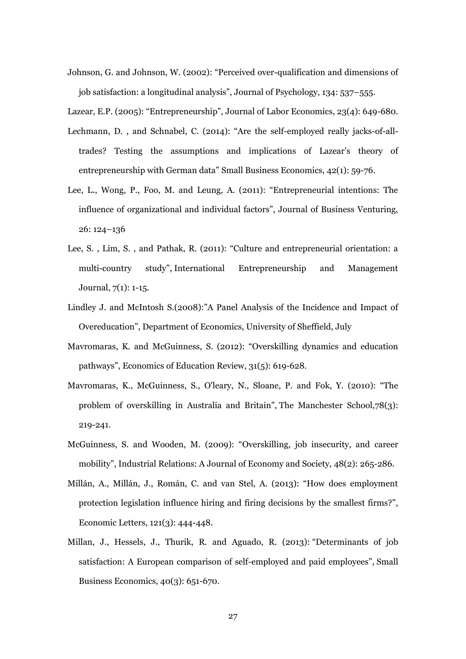Johnson, G. and Johnson, W. (2002): "Perceived over-qualification and dimensions of job satisfaction: a longitudinal analysis", Journal of Psychology, 134: 537–555.

Lazear, E.P. (2005): "Entrepreneurship", Journal of Labor Economics, 23(4): 649-680.

- Lechmann, D. , and Schnabel, C. (2014): "Are the self-employed really jacks-of-alltrades? Testing the assumptions and implications of Lazear's theory of entrepreneurship with German data" Small Business Economics, 42(1): 59-76.
- Lee, L., Wong, P., Foo, M. and Leung, A. (2011): "Entrepreneurial intentions: The influence of organizational and individual factors", Journal of Business Venturing, 26: 124–136
- Lee, S. , Lim, S. , and Pathak, R. (2011): "Culture and entrepreneurial orientation: a multi-country study", International Entrepreneurship and Management Journal, 7(1): 1-15.
- Lindley J. and McIntosh S.(2008):"A Panel Analysis of the Incidence and Impact of Overeducation", Department of Economics, University of Sheffield, July
- Mavromaras, K. and McGuinness, S. (2012): "Overskilling dynamics and education pathways", Economics of Education Review, 31(5): 619-628.
- Mavromaras, K., McGuinness, S., O'leary, N., Sloane, P. and Fok, Y. (2010): "The problem of overskilling in Australia and Britain", The Manchester School,78(3): 219-241.
- McGuinness, S. and Wooden, M. (2009): "Overskilling, job insecurity, and career mobility", Industrial Relations: A Journal of Economy and Society, 48(2): 265-286.
- Millán, A., Millán, J., Román, C. and van Stel, A. (2013): "How does employment protection legislation influence hiring and firing decisions by the smallest firms?", Economic Letters, 121(3): 444-448.
- Millan, J., Hessels, J., Thurik, R. and Aguado, R. (2013): "[Determinants of job](http://hdl.handle.net/1765/31311)  [satisfaction: A European comparison of self-employed and paid employees](http://hdl.handle.net/1765/31311)", Small Business Economics, 40(3): 651-670.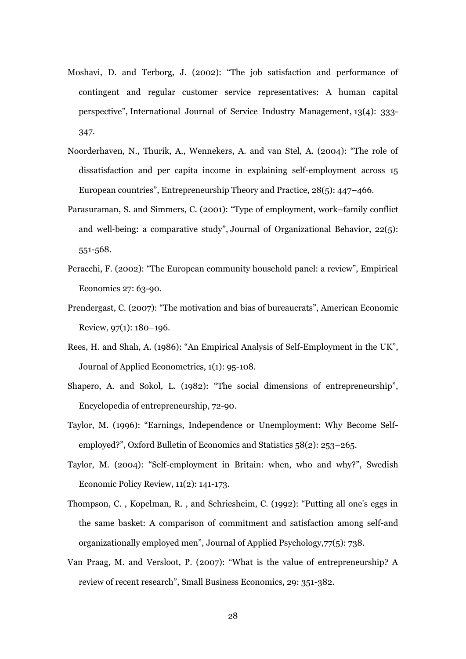- Moshavi, D. and Terborg, J. (2002): "The job satisfaction and performance of contingent and regular customer service representatives: A human capital perspective", International Journal of Service Industry Management, 13(4): 333- 347.
- Noorderhaven, N., Thurik, A., Wennekers, A. and van Stel, A. (2004): "The role of dissatisfaction and per capita income in explaining self-employment across 15 European countries", Entrepreneurship Theory and Practice, 28(5): 447–466.
- Parasuraman, S. and Simmers, C. (2001): "Type of employment, work–family conflict and well-being: a comparative study", Journal of Organizational Behavior, 22(5): 551-568.
- Peracchi, F. (2002): "The European community household panel: a review", Empirical Economics 27: 63-90.
- Prendergast, C. (2007): "The motivation and bias of bureaucrats", American Economic Review, 97(1): 180–196.
- Rees, H. and Shah, A. (1986): "An Empirical Analysis of Self-Employment in the UK", Journal of Applied Econometrics, 1(1): 95-108.
- Shapero, A. and Sokol, L. (1982): "The social dimensions of entrepreneurship", Encyclopedia of entrepreneurship, 72-90.
- Taylor, M. (1996): "Earnings, Independence or Unemployment: Why Become Selfemployed?", Oxford Bulletin of Economics and Statistics 58(2): 253–265.
- Taylor, M. (2004): "Self-employment in Britain: when, who and why?", Swedish Economic Policy Review, 11(2): 141-173.
- Thompson, C. , Kopelman, R. , and Schriesheim, C. (1992): "Putting all one's eggs in the same basket: A comparison of commitment and satisfaction among self-and organizationally employed men", Journal of Applied Psychology,77(5): 738.
- Van Praag, M. and Versloot, P. (2007): "What is the value of entrepreneurship? A review of recent research", Small Business Economics, 29: 351-382.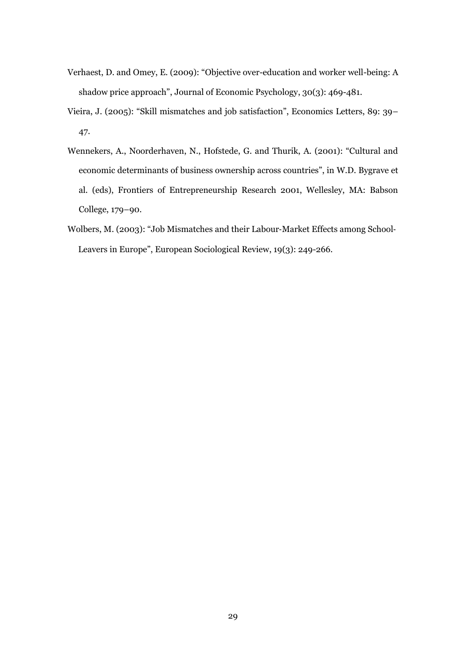- Verhaest, D. and Omey, E. (2009): "Objective over-education and worker well-being: A shadow price approach", Journal of Economic Psychology, 30(3): 469-481.
- Vieira, J. (2005): "Skill mismatches and job satisfaction", Economics Letters, 89: 39– 47.
- Wennekers, A., Noorderhaven, N., Hofstede, G. and Thurik, A. (2001): "Cultural and economic determinants of business ownership across countries", in W.D. Bygrave et al. (eds), Frontiers of Entrepreneurship Research 2001, Wellesley, MA: Babson College, 179–90.
- Wolbers, M. (2003): "Job Mismatches and their Labour-Market Effects among School-Leavers in Europe", European Sociological Review, 19(3): 249-266.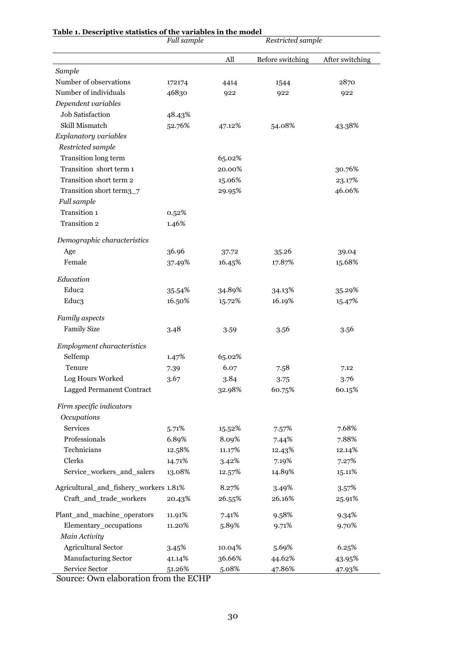| ave statistics of the variables in the | <b>Full sample</b> |        | Restricted sample |                 |
|----------------------------------------|--------------------|--------|-------------------|-----------------|
|                                        |                    | All    | Before switching  | After switching |
| Sample                                 |                    |        |                   |                 |
| Number of observations                 | 172174             | 4414   | 1544              | 2870            |
| Number of individuals                  | 46830              | 922    | 922               | 922             |
| Dependent variables                    |                    |        |                   |                 |
| Job Satisfaction                       | 48.43%             |        |                   |                 |
| Skill Mismatch                         | 52.76%             | 47.12% | 54.08%            | 43.38%          |
| Explanatory variables                  |                    |        |                   |                 |
| Restricted sample                      |                    |        |                   |                 |
| Transition long term                   |                    | 65.02% |                   |                 |
| Transition short term 1                |                    | 20.00% |                   | 30.76%          |
| Transition short term 2                |                    | 15.06% |                   | 23.17%          |
| Transition short term <sub>3_7</sub>   |                    | 29.95% |                   | 46.06%          |
| Full sample                            |                    |        |                   |                 |
| Transition 1                           | 0.52%              |        |                   |                 |
| Transition 2                           | 1.46%              |        |                   |                 |
| Demographic characteristics            |                    |        |                   |                 |
| Age                                    | 36.96              | 37.72  | 35.26             | 39.04           |
| Female                                 | 37.49%             | 16.45% | 17.87%            | 15.68%          |
| Education                              |                    |        |                   |                 |
| Educ <sub>2</sub>                      | 35.54%             | 34.89% | 34.13%            | 35.29%          |
| Educ3                                  | 16.50%             | 15.72% | 16.19%            | 15.47%          |
| Family aspects                         |                    |        |                   |                 |
| <b>Family Size</b>                     | 3.48               | 3.59   | 3.56              | 3.56            |
| Employment characteristics             |                    |        |                   |                 |
| Selfemp                                | 1.47%              | 65.02% |                   |                 |
| Tenure                                 | 7.39               | 6.07   | 7.58              | 7.12            |
| Log Hours Worked                       | 3.67               | 3.84   | 3.75              | 3.76            |
| <b>Lagged Permanent Contract</b>       |                    | 32.98% | 60.75%            | 60.15%          |
| Firm specific indicators               |                    |        |                   |                 |
| Occupations                            |                    |        |                   |                 |
| Services                               | 5.71%              | 15.52% | 7.57%             | 7.68%           |
| Professionals                          | 6.89%              | 8.09%  | 7.44%             | 7.88%           |
| Technicians                            | 12.58%             | 11.17% | 12.43%            | 12.14%          |
| Clerks                                 | 14.71%             | 3.42%  | 7.19%             | 7.27%           |
| Service_workers_and_salers             | 13.08%             | 12.57% | 14.89%            | 15.11%          |
| Agricultural_and_fishery_workers 1.81% |                    | 8.27%  | 3.49%             | 3.57%           |
| Craft_and_trade_workers                | 20.43%             | 26.55% | 26.16%            | 25.91%          |
| Plant_and_machine_operators            | 11.91%             | 7.41%  | 9.58%             | 9.34%           |
| Elementary_occupations                 | 11.20%             | 5.89%  | 9.71%             | 9.70%           |
| Main Activity                          |                    |        |                   |                 |
| Agricultural Sector                    | 3.45%              | 10.04% | 5.69%             | 6.25%           |
| Manufacturing Sector                   | 41.14%             | 36.66% | 44.62%            | 43.95%          |
| Service Sector                         | 51.26%             | 5.08%  | 47.86%            | 47.93%          |

|  |  | Table 1. Descriptive statistics of the variables in the model |  |
|--|--|---------------------------------------------------------------|--|
|--|--|---------------------------------------------------------------|--|

Source: Own elaboration from the ECHP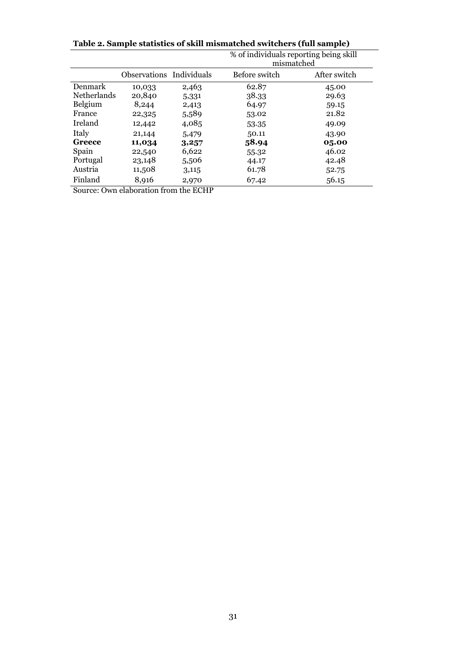**Table 2. Sample statistics of skill mismatched switchers (full sample)**

|                    |                          |       | % of individuals reporting being skill<br>mismatched |              |
|--------------------|--------------------------|-------|------------------------------------------------------|--------------|
|                    | Observations Individuals |       | Before switch                                        | After switch |
| Denmark            | 10,033                   | 2,463 | 62.87                                                | 45.00        |
| <b>Netherlands</b> | 20,840                   | 5,331 | 38.33                                                | 29.63        |
| Belgium            | 8,244                    | 2,413 | 64.97                                                | 59.15        |
| France             | 22,325                   | 5,589 | 53.02                                                | 21.82        |
| Ireland            | 12,442                   | 4,085 | 53.35                                                | 49.09        |
| Italy              | 21,144                   | 5,479 | 50.11                                                | 43.90        |
| Greece             | 11,034                   | 3,257 | 58.94                                                | 05.00        |
| Spain              | 22,540                   | 6,622 | 55.32                                                | 46.02        |
| Portugal           | 23,148                   | 5,506 | 44.17                                                | 42.48        |
| Austria            | 11,508                   | 3,115 | 61.78                                                | 52.75        |
| Finland            | 8,916                    | 2,970 | 67.42                                                | 56.15        |

Source: Own elaboration from the ECHP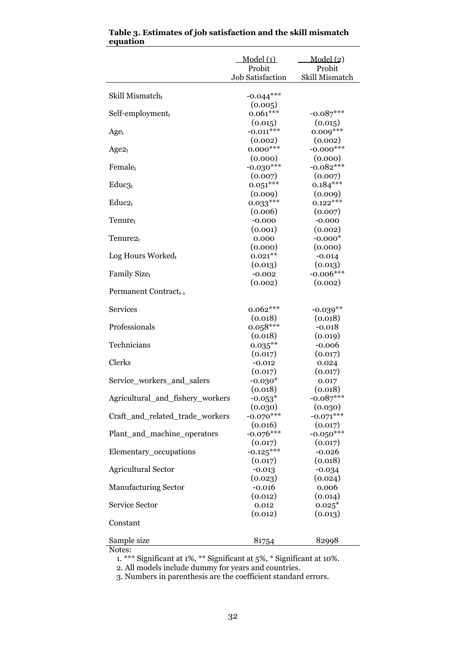|                                   | Model(1)<br>Probit      | Model (2)<br>Probit  |
|-----------------------------------|-------------------------|----------------------|
|                                   | <b>Job Satisfaction</b> | Skill Mismatch       |
|                                   |                         |                      |
| Skill Mismatcht                   | $-0.044***$<br>(0.005)  |                      |
| $Self-emplogment_t$               | $0.061***$              | $-0.087***$          |
|                                   | (0.015)                 | (0.015)              |
| $Age_t$                           | $-0.011***$             | $0.009***$           |
|                                   | (0.002)                 | (0.002)              |
| $Age2_t$                          | $0.000***$              | $-0.000$ ***         |
|                                   | (0.000)                 | (0.000)              |
| Female <sub>t</sub>               | $-0.030***$             | $-0.082***$          |
|                                   | (0.007)                 | (0.007)              |
| Educ <sub>3t</sub>                | $0.051***$              | $0.184***$           |
|                                   | (0.009)                 | (0.009)              |
| $Educ2_t$                         | $0.033***$              | $0.122***$           |
|                                   | (0.006)                 | (0.007)              |
| Tenure <sub>t</sub>               | $-0.000$                | $-0.000$             |
| Tenure2t                          | (0.001)<br>0.000        | (0.002)<br>$-0.000*$ |
|                                   | (0.000)                 | (0.000)              |
| Log Hours Workedt                 | $0.021***$              | $-0.014$             |
|                                   | (0.013)                 | (0.013)              |
| Family Sizet                      | $-0.002$                | $-0.006***$          |
|                                   | (0.002)                 | (0.002)              |
| Permanent Contract <sub>t-1</sub> |                         |                      |
| <b>Services</b>                   | $0.062***$              | $-0.039**$           |
|                                   | (0.018)                 | (0.018)              |
| Professionals                     | $0.058***$              | $-0.018$             |
|                                   | (0.018)                 | (0.019)              |
| Technicians                       | $0.035***$              | $-0.006$             |
|                                   | (0.017)                 | (0.017)              |
| Clerks                            | $-0.012$                | 0.024                |
|                                   | (0.017)                 | (0.017)              |
| Service_workers_and_salers        | $-0.030*$<br>(0.018)    | 0.017<br>(0.018)     |
| Agricultural_and_fishery_workers  | $-0.053*$               | $0.087***$           |
|                                   | (0.030)                 | (0.030)              |
| Craft_and_related_trade_workers   | $-0.070***$             | $-0.071***$          |
|                                   | (0.016)                 | (0.017)              |
| Plant_and_machine_operators       | $-0.076***$             | $-0.050***$          |
|                                   | (0.017)                 | (0.017)              |
| Elementary_occupations            | $-0.125***$             | $-0.026$             |
|                                   | (0.017)                 | (0.018)              |
| <b>Agricultural Sector</b>        | $-0.013$                | $-0.034$             |
|                                   | (0.023)                 | (0.024)              |
| <b>Manufacturing Sector</b>       | $-0.016$                | 0.006                |
| Service Sector                    | (0.012)                 | (0.014)              |
|                                   | 0.012<br>(0.012)        | $0.025*$<br>(0.013)  |
| Constant                          |                         |                      |
|                                   |                         |                      |
| Sample size                       | 81754                   | 82998                |

| Table 3. Estimates of job satisfaction and the skill mismatch |  |
|---------------------------------------------------------------|--|
| equation                                                      |  |

Notes:

1. \*\*\* Significant at 1%, \*\* Significant at 5%, \* Significant at 10%.

2. All models include dummy for years and countries.

3. Numbers in parenthesis are the coefficient standard errors.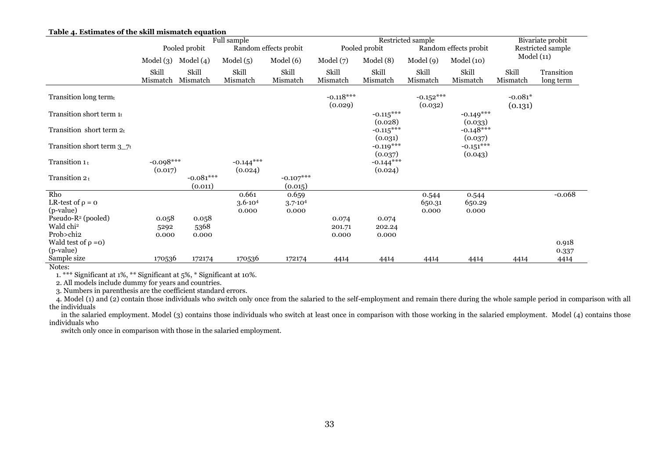|                                         | rabic 4. Estimates or the skin imsinaten equation<br>Full sample |                        |                                        | Restricted sample      |                        |                        |                        | Bivariate probit       |                      |                         |
|-----------------------------------------|------------------------------------------------------------------|------------------------|----------------------------------------|------------------------|------------------------|------------------------|------------------------|------------------------|----------------------|-------------------------|
|                                         | Pooled probit<br>Random effects probit                           |                        | Pooled probit<br>Random effects probit |                        |                        | Restricted sample      |                        |                        |                      |                         |
|                                         | Model(3)                                                         | Model $(4)$            | Model(5)                               | Model (6)              | Model(7)               | Model(8)               | Model (9)              | Model(10)              | Model(11)            |                         |
|                                         | Skill<br>Mismatch                                                | Skill<br>Mismatch      | Skill<br>Mismatch                      | Skill<br>Mismatch      | Skill<br>Mismatch      | Skill<br>Mismatch      | Skill<br>Mismatch      | Skill<br>Mismatch      | Skill<br>Mismatch    | Transition<br>long term |
| Transition long term $t$                |                                                                  |                        |                                        |                        | $-0.118***$<br>(0.029) |                        | $-0.152***$<br>(0.032) |                        | $-0.081*$<br>(0.131) |                         |
| Transition short term $1t$              |                                                                  |                        |                                        |                        |                        | $-0.115***$<br>(0.028) |                        | $-0.149***$<br>(0.033) |                      |                         |
| Transition short term $2t$              |                                                                  |                        |                                        |                        |                        | $-0.115***$<br>(0.031) |                        | $-0.148***$<br>(0.037) |                      |                         |
| Transition short term $3\_\mathrm{7}$ t |                                                                  |                        |                                        |                        |                        | $-0.119***$<br>(0.037) |                        | $-0.151***$<br>(0.043) |                      |                         |
| Transition 1t                           | $-0.098***$<br>(0.017)                                           |                        | $-0.144***$<br>(0.024)                 |                        |                        | $-0.144***$<br>(0.024) |                        |                        |                      |                         |
| Transition 2t                           |                                                                  | $-0.081***$<br>(0.011) |                                        | $-0.107***$<br>(0.015) |                        |                        |                        |                        |                      |                         |
| Rho                                     |                                                                  |                        | 0.661                                  | 0.659                  |                        |                        | 0.544                  | 0.544                  |                      | $-0.068$                |
| LR-test of $\rho = 0$                   |                                                                  |                        | $3.6 \cdot 10^{4}$                     | $3.7 \cdot 10^{4}$     |                        |                        | 650.31                 | 650.29                 |                      |                         |
| (p-value)                               |                                                                  |                        | 0.000                                  | 0.000                  |                        |                        | 0.000                  | 0.000                  |                      |                         |
| Pseudo-R <sup>2</sup> (pooled)          | 0.058                                                            | 0.058                  |                                        |                        | 0.074                  | 0.074                  |                        |                        |                      |                         |
| Wald chi <sup>2</sup><br>Prob>chi2      | 5292                                                             | 5368                   |                                        |                        | 201.71                 | 202.24                 |                        |                        |                      |                         |
| Wald test of $\rho = o$ )               | 0.000                                                            | 0.000                  |                                        |                        | 0.000                  | 0.000                  |                        |                        |                      |                         |
| (p-value)                               |                                                                  |                        |                                        |                        |                        |                        |                        |                        |                      | 0.918                   |
| Sample size<br>$\mathbf{v}$             | 170536                                                           | 172174                 | 170536                                 | 172174                 | 4414                   | 4414                   | 4414                   | 4414                   | 4414                 | 0.337<br>4414           |

#### **Table 4. Estimates of the skill mismatch equation**

Notes:

1. \*\*\* Significant at 1%, \*\* Significant at 5%, \* Significant at 10%.

2. All models include dummy for years and countries.

3. Numbers in parenthesis are the coefficient standard errors.

4. Model (1) and (2) contain those individuals who switch only once from the salaried to the self-employment and remain there during the whole sample period in comparison with all the individuals

 in the salaried employment. Model (3) contains those individuals who switch at least once in comparison with those working in the salaried employment. Model (4) contains those individuals who

switch only once in comparison with those in the salaried employment.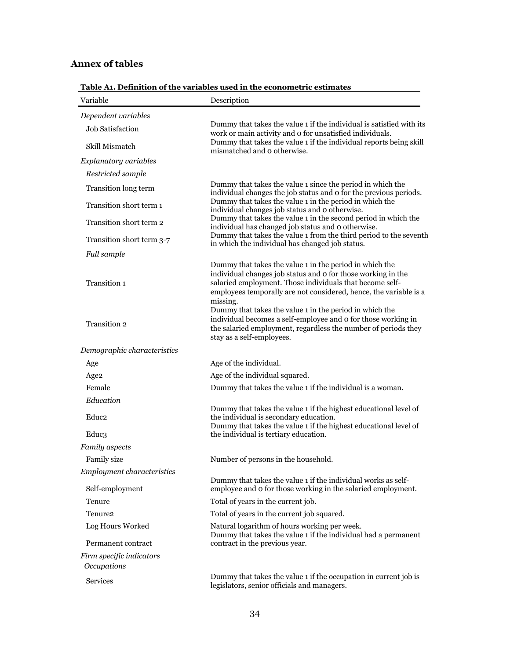### **Annex of tables**

| Variable                                | Description                                                                                                                                                                                                                                                          |
|-----------------------------------------|----------------------------------------------------------------------------------------------------------------------------------------------------------------------------------------------------------------------------------------------------------------------|
| Dependent variables                     |                                                                                                                                                                                                                                                                      |
| <b>Job Satisfaction</b>                 | Dummy that takes the value 1 if the individual is satisfied with its<br>work or main activity and o for unsatisfied individuals.                                                                                                                                     |
| Skill Mismatch                          | Dummy that takes the value 1 if the individual reports being skill<br>mismatched and o otherwise.                                                                                                                                                                    |
| Explanatory variables                   |                                                                                                                                                                                                                                                                      |
| Restricted sample                       |                                                                                                                                                                                                                                                                      |
| Transition long term                    | Dummy that takes the value 1 since the period in which the<br>individual changes the job status and o for the previous periods.                                                                                                                                      |
| Transition short term 1                 | Dummy that takes the value 1 in the period in which the<br>individual changes job status and o otherwise.                                                                                                                                                            |
| Transition short term 2                 | Dummy that takes the value 1 in the second period in which the<br>individual has changed job status and o otherwise.                                                                                                                                                 |
| Transition short term 3-7               | Dummy that takes the value 1 from the third period to the seventh<br>in which the individual has changed job status.                                                                                                                                                 |
| Full sample                             |                                                                                                                                                                                                                                                                      |
| Transition 1                            | Dummy that takes the value 1 in the period in which the<br>individual changes job status and o for those working in the<br>salaried employment. Those individuals that become self-<br>employees temporally are not considered, hence, the variable is a<br>missing. |
| Transition 2                            | Dummy that takes the value 1 in the period in which the<br>individual becomes a self-employee and o for those working in<br>the salaried employment, regardless the number of periods they<br>stay as a self-employees.                                              |
| Demographic characteristics             |                                                                                                                                                                                                                                                                      |
| Age                                     | Age of the individual.                                                                                                                                                                                                                                               |
| Age <sub>2</sub>                        | Age of the individual squared.                                                                                                                                                                                                                                       |
| Female                                  | Dummy that takes the value 1 if the individual is a woman.                                                                                                                                                                                                           |
| Education                               |                                                                                                                                                                                                                                                                      |
| Educ2                                   | Dummy that takes the value 1 if the highest educational level of<br>the individual is secondary education.<br>Dummy that takes the value 1 if the highest educational level of                                                                                       |
| Educ3                                   | the individual is tertiary education.                                                                                                                                                                                                                                |
| Family aspects                          |                                                                                                                                                                                                                                                                      |
| <b>Family size</b>                      | Number of persons in the household.                                                                                                                                                                                                                                  |
| <b>Employment characteristics</b>       |                                                                                                                                                                                                                                                                      |
| Self-employment                         | Dummy that takes the value 1 if the individual works as self-<br>employee and o for those working in the salaried employment.                                                                                                                                        |
| Tenure                                  | Total of years in the current job.                                                                                                                                                                                                                                   |
| Tenure <sub>2</sub>                     | Total of years in the current job squared.                                                                                                                                                                                                                           |
| Log Hours Worked                        | Natural logarithm of hours working per week.<br>Dummy that takes the value 1 if the individual had a permanent                                                                                                                                                       |
| Permanent contract                      | contract in the previous year.                                                                                                                                                                                                                                       |
| Firm specific indicators<br>Occupations |                                                                                                                                                                                                                                                                      |
| Services                                | Dummy that takes the value 1 if the occupation in current job is<br>legislators, senior officials and managers.                                                                                                                                                      |

**Table A1. Definition of the variables used in the econometric estimates**